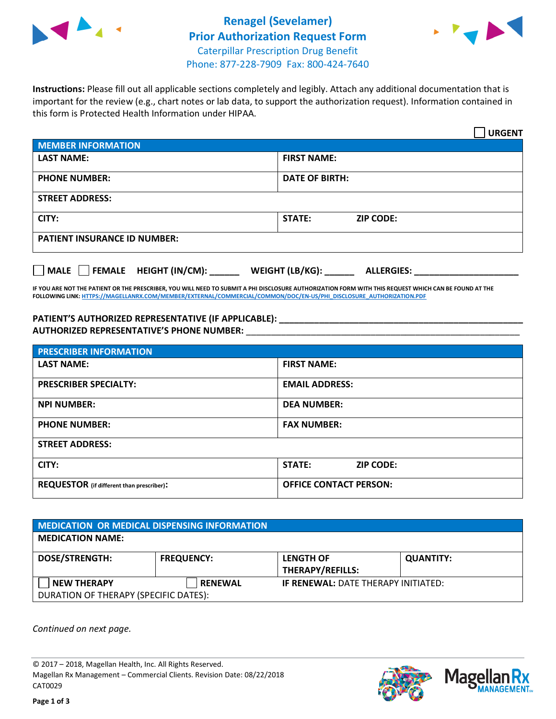



**Instructions:** Please fill out all applicable sections completely and legibly. Attach any additional documentation that is important for the review (e.g., chart notes or lab data, to support the authorization request). Information contained in this form is Protected Health Information under HIPAA.

|                                       | <b>URGENT</b>                        |  |  |  |
|---------------------------------------|--------------------------------------|--|--|--|
| <b>MEMBER INFORMATION</b>             |                                      |  |  |  |
| <b>LAST NAME:</b>                     | <b>FIRST NAME:</b>                   |  |  |  |
| <b>PHONE NUMBER:</b>                  | <b>DATE OF BIRTH:</b>                |  |  |  |
| <b>STREET ADDRESS:</b>                |                                      |  |  |  |
| CITY:                                 | STATE:<br><b>ZIP CODE:</b>           |  |  |  |
| <b>PATIENT INSURANCE ID NUMBER:</b>   |                                      |  |  |  |
| FEMALE HEIGHT (IN/CM):<br><b>MALE</b> | WEIGHT (LB/KG):<br><b>ALLERGIES:</b> |  |  |  |

**IF YOU ARE NOT THE PATIENT OR THE PRESCRIBER, YOU WILL NEED TO SUBMIT A PHI DISCLOSURE AUTHORIZATION FORM WITH THIS REQUEST WHICH CAN BE FOUND AT THE FOLLOWING LINK[: HTTPS://MAGELLANRX.COM/MEMBER/EXTERNAL/COMMERCIAL/COMMON/DOC/EN-US/PHI\\_DISCLOSURE\\_AUTHORIZATION.PDF](https://magellanrx.com/member/external/commercial/common/doc/en-us/PHI_Disclosure_Authorization.pdf)**

**PATIENT'S AUTHORIZED REPRESENTATIVE (IF APPLICABLE): \_\_\_\_\_\_\_\_\_\_\_\_\_\_\_\_\_\_\_\_\_\_\_\_\_\_\_\_\_\_\_\_\_\_\_\_\_\_\_\_\_\_\_\_\_\_\_\_\_ AUTHORIZED REPRESENTATIVE'S PHONE NUMBER:** \_\_\_\_\_\_\_\_\_\_\_\_\_\_\_\_\_\_\_\_\_\_\_\_\_\_\_\_\_\_\_\_\_\_\_\_\_\_\_\_\_\_\_\_\_\_\_\_\_\_\_\_\_\_\_

| <b>PRESCRIBER INFORMATION</b>             |                               |  |  |  |
|-------------------------------------------|-------------------------------|--|--|--|
| <b>LAST NAME:</b>                         | <b>FIRST NAME:</b>            |  |  |  |
| <b>PRESCRIBER SPECIALTY:</b>              | <b>EMAIL ADDRESS:</b>         |  |  |  |
| <b>NPI NUMBER:</b>                        | <b>DEA NUMBER:</b>            |  |  |  |
| <b>PHONE NUMBER:</b>                      | <b>FAX NUMBER:</b>            |  |  |  |
| <b>STREET ADDRESS:</b>                    |                               |  |  |  |
| CITY:                                     | STATE:<br><b>ZIP CODE:</b>    |  |  |  |
| REQUESTOR (if different than prescriber): | <b>OFFICE CONTACT PERSON:</b> |  |  |  |

| MEDICATION OR MEDICAL DISPENSING INFORMATION |                   |                                            |                  |  |  |
|----------------------------------------------|-------------------|--------------------------------------------|------------------|--|--|
| <b>MEDICATION NAME:</b>                      |                   |                                            |                  |  |  |
| <b>DOSE/STRENGTH:</b>                        | <b>FREQUENCY:</b> | <b>LENGTH OF</b>                           | <b>QUANTITY:</b> |  |  |
|                                              |                   | <b>THERAPY/REFILLS:</b>                    |                  |  |  |
| <b>NEW THERAPY</b>                           | <b>RENEWAL</b>    | <b>IF RENEWAL: DATE THERAPY INITIATED:</b> |                  |  |  |
| DURATION OF THERAPY (SPECIFIC DATES):        |                   |                                            |                  |  |  |

*Continued on next page.*

© 2017 – 2018, Magellan Health, Inc. All Rights Reserved. Magellan Rx Management – Commercial Clients. Revision Date: 08/22/2018 CAT0029



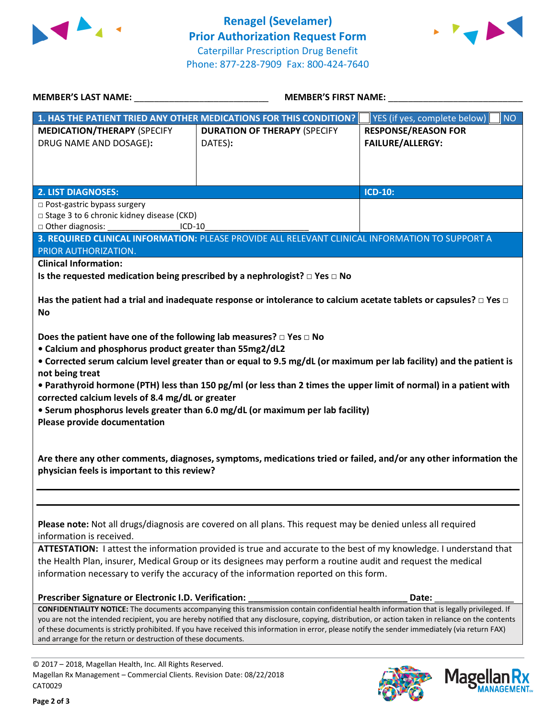



**Mage** 

**an Rx<br><sup>NAGEMENT...**</sup>

| <b>MEMBER'S LAST NAME:</b>                                                                                                                                                                                                                                                                                                              | <b>MEMBER'S FIRST NAME:</b>                    |                                                                                                                                                                                                                                                                                                                                                                                                                                                        |  |
|-----------------------------------------------------------------------------------------------------------------------------------------------------------------------------------------------------------------------------------------------------------------------------------------------------------------------------------------|------------------------------------------------|--------------------------------------------------------------------------------------------------------------------------------------------------------------------------------------------------------------------------------------------------------------------------------------------------------------------------------------------------------------------------------------------------------------------------------------------------------|--|
| 1. HAS THE PATIENT TRIED ANY OTHER MEDICATIONS FOR THIS CONDITION?                                                                                                                                                                                                                                                                      |                                                | YES (if yes, complete below)<br><b>NO</b>                                                                                                                                                                                                                                                                                                                                                                                                              |  |
| <b>MEDICATION/THERAPY (SPECIFY</b><br>DRUG NAME AND DOSAGE):                                                                                                                                                                                                                                                                            | <b>DURATION OF THERAPY (SPECIFY</b><br>DATES): | <b>RESPONSE/REASON FOR</b><br><b>FAILURE/ALLERGY:</b>                                                                                                                                                                                                                                                                                                                                                                                                  |  |
| <b>2. LIST DIAGNOSES:</b>                                                                                                                                                                                                                                                                                                               |                                                | <b>ICD-10:</b>                                                                                                                                                                                                                                                                                                                                                                                                                                         |  |
| $\Box$ Post-gastric bypass surgery<br>□ Stage 3 to 6 chronic kidney disease (CKD)<br>□ Other diagnosis:<br>PRIOR AUTHORIZATION.                                                                                                                                                                                                         | ICD-10                                         | 3. REQUIRED CLINICAL INFORMATION: PLEASE PROVIDE ALL RELEVANT CLINICAL INFORMATION TO SUPPORT A                                                                                                                                                                                                                                                                                                                                                        |  |
| <b>Clinical Information:</b>                                                                                                                                                                                                                                                                                                            |                                                |                                                                                                                                                                                                                                                                                                                                                                                                                                                        |  |
| Is the requested medication being prescribed by a nephrologist? $\square$ Yes $\square$ No                                                                                                                                                                                                                                              |                                                |                                                                                                                                                                                                                                                                                                                                                                                                                                                        |  |
| No<br>Does the patient have one of the following lab measures? $\Box$ Yes $\Box$ No<br>• Calcium and phosphorus product greater than 55mg2/dL2<br>not being treat<br>corrected calcium levels of 8.4 mg/dL or greater<br>• Serum phosphorus levels greater than 6.0 mg/dL (or maximum per lab facility)<br>Please provide documentation |                                                | Has the patient had a trial and inadequate response or intolerance to calcium acetate tablets or capsules? $\Box$ Yes $\Box$<br>• Corrected serum calcium level greater than or equal to 9.5 mg/dL (or maximum per lab facility) and the patient is<br>• Parathyroid hormone (PTH) less than 150 pg/ml (or less than 2 times the upper limit of normal) in a patient with                                                                              |  |
| physician feels is important to this review?                                                                                                                                                                                                                                                                                            |                                                | Are there any other comments, diagnoses, symptoms, medications tried or failed, and/or any other information the                                                                                                                                                                                                                                                                                                                                       |  |
| Please note: Not all drugs/diagnosis are covered on all plans. This request may be denied unless all required<br>information is received.                                                                                                                                                                                               |                                                |                                                                                                                                                                                                                                                                                                                                                                                                                                                        |  |
| the Health Plan, insurer, Medical Group or its designees may perform a routine audit and request the medical<br>information necessary to verify the accuracy of the information reported on this form.                                                                                                                                  |                                                | ATTESTATION: I attest the information provided is true and accurate to the best of my knowledge. I understand that                                                                                                                                                                                                                                                                                                                                     |  |
| Prescriber Signature or Electronic I.D. Verification:                                                                                                                                                                                                                                                                                   |                                                | Date:                                                                                                                                                                                                                                                                                                                                                                                                                                                  |  |
| and arrange for the return or destruction of these documents.                                                                                                                                                                                                                                                                           |                                                | CONFIDENTIALITY NOTICE: The documents accompanying this transmission contain confidential health information that is legally privileged. If<br>you are not the intended recipient, you are hereby notified that any disclosure, copying, distribution, or action taken in reliance on the contents<br>of these documents is strictly prohibited. If you have received this information in error, please notify the sender immediately (via return FAX) |  |
| © 2017 - 2018, Magellan Health, Inc. All Rights Reserved.                                                                                                                                                                                                                                                                               |                                                |                                                                                                                                                                                                                                                                                                                                                                                                                                                        |  |

CAT0029

Magellan Rx Management – Commercial Clients. Revision Date: 08/22/2018